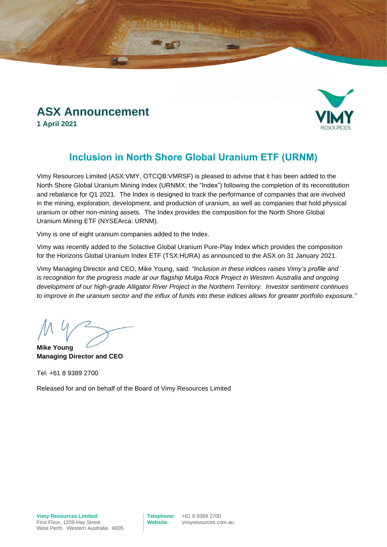## **ASX Announcement 1 April 2021**



# **Inclusion in North Shore Global Uranium ETF (URNM)**

Vimy Resources Limited (ASX:VMY, OTCQB:VMRSF) is pleased to advise that it has been added to the North Shore Global Uranium Mining Index (URNMX; the "Index") following the completion of its reconstitution and rebalance for Q1 2021. The Index is designed to track the performance of companies that are involved in the mining, exploration, development, and production of uranium, as well as companies that hold physical uranium or other non-mining assets. The Index provides the composition for the North Shore Global Uranium Mining ETF (NYSEArca: URNM).

Vimy is one of eight uranium companies added to the Index.

Vimy was recently added to the Solactive Global Uranium Pure-Play Index which provides the composition for the Horizons Global Uranium Index ETF (TSX:HURA) as announced to the ASX on 31 January 2021.

Vimy Managing Director and CEO, Mike Young, said: *"Inclusion in these indices raises Vimy's profile and is recognition for the progress made at our flagship Mulga Rock Project in Western Australia and ongoing development of our high-grade Alligator River Project in the Northern Territory. Investor sentiment continues to improve in the uranium sector and the influx of funds into these indices allows for greater portfolio exposure."* 

**Mike Young Managing Director and CEO**

Tel: +61 8 9389 2700

Released for and on behalf of the Board of Vimy Resources Limited